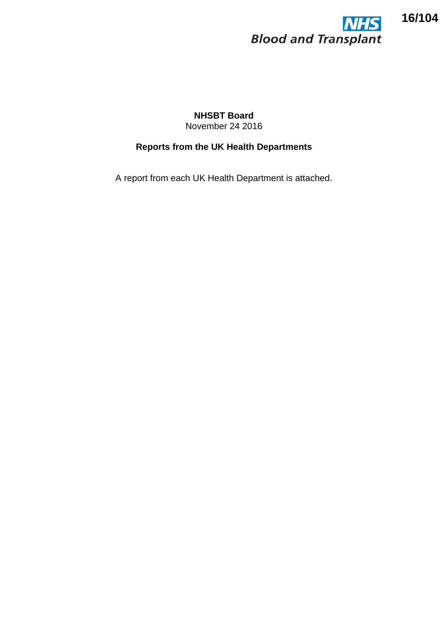

## **NHSBT Board** November 24 2016

# **Reports from the UK Health Departments**

A report from each UK Health Department is attached.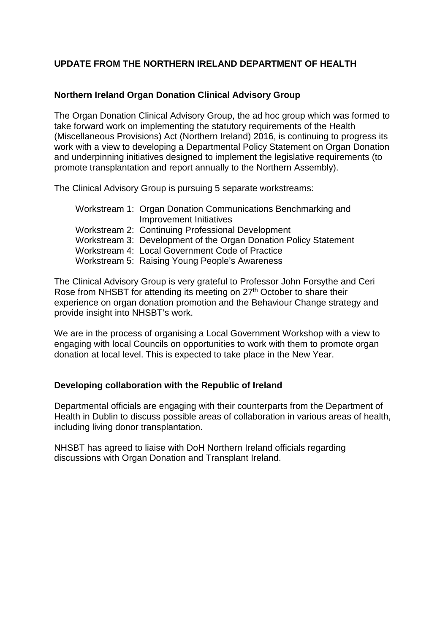## **UPDATE FROM THE NORTHERN IRELAND DEPARTMENT OF HEALTH**

## **Northern Ireland Organ Donation Clinical Advisory Group**

The Organ Donation Clinical Advisory Group, the ad hoc group which was formed to take forward work on implementing the statutory requirements of the Health (Miscellaneous Provisions) Act (Northern Ireland) 2016, is continuing to progress its work with a view to developing a Departmental Policy Statement on Organ Donation and underpinning initiatives designed to implement the legislative requirements (to promote transplantation and report annually to the Northern Assembly).

The Clinical Advisory Group is pursuing 5 separate workstreams:

| Workstream 1: Organ Donation Communications Benchmarking and     |
|------------------------------------------------------------------|
| Improvement Initiatives                                          |
| Workstream 2: Continuing Professional Development                |
| Workstream 3: Development of the Organ Donation Policy Statement |
| Workstream 4: Local Government Code of Practice                  |
| Workstream 5: Raising Young People's Awareness                   |

The Clinical Advisory Group is very grateful to Professor John Forsythe and Ceri Rose from NHSBT for attending its meeting on 27<sup>th</sup> October to share their experience on organ donation promotion and the Behaviour Change strategy and provide insight into NHSBT's work.

We are in the process of organising a Local Government Workshop with a view to engaging with local Councils on opportunities to work with them to promote organ donation at local level. This is expected to take place in the New Year.

### **Developing collaboration with the Republic of Ireland**

Departmental officials are engaging with their counterparts from the Department of Health in Dublin to discuss possible areas of collaboration in various areas of health, including living donor transplantation.

NHSBT has agreed to liaise with DoH Northern Ireland officials regarding discussions with Organ Donation and Transplant Ireland.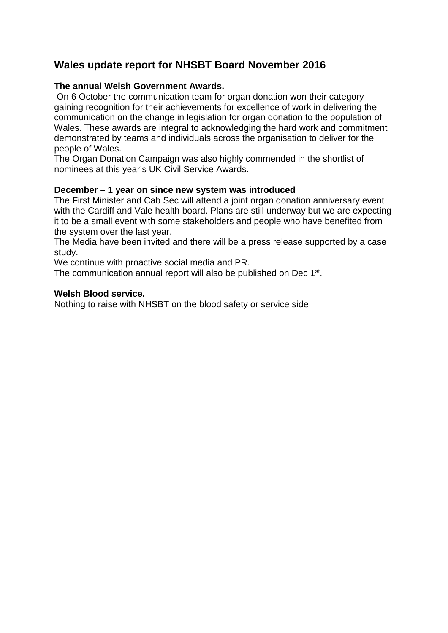# **Wales update report for NHSBT Board November 2016**

## **The annual Welsh Government Awards.**

On 6 October the communication team for organ donation won their category gaining recognition for their achievements for excellence of work in delivering the communication on the change in legislation for organ donation to the population of Wales. These awards are integral to acknowledging the hard work and commitment demonstrated by teams and individuals across the organisation to deliver for the people of Wales.

The Organ Donation Campaign was also highly commended in the shortlist of nominees at this year's UK Civil Service Awards.

### **December – 1 year on since new system was introduced**

The First Minister and Cab Sec will attend a joint organ donation anniversary event with the Cardiff and Vale health board. Plans are still underway but we are expecting it to be a small event with some stakeholders and people who have benefited from the system over the last year.

The Media have been invited and there will be a press release supported by a case study.

We continue with proactive social media and PR.

The communication annual report will also be published on Dec 1<sup>st</sup>.

#### **Welsh Blood service.**

Nothing to raise with NHSBT on the blood safety or service side